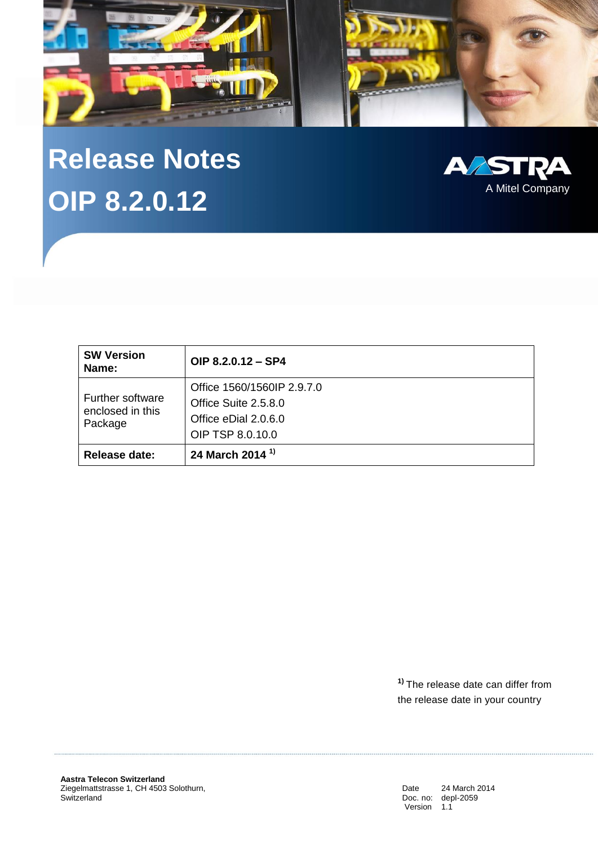

# **Release Notes OIP 8.2.0.12**



| <b>SW Version</b><br>Name:                             | OIP $8.2.0.12 - SP4$       |
|--------------------------------------------------------|----------------------------|
| <b>Further software</b><br>enclosed in this<br>Package | Office 1560/1560IP 2.9.7.0 |
|                                                        | Office Suite 2.5.8.0       |
|                                                        | Office eDial 2.0.6.0       |
|                                                        | OIP TSP 8.0.10.0           |
| <b>Release date:</b>                                   | 24 March 2014 $1$          |

**1)** The release date can differ from the release date in your country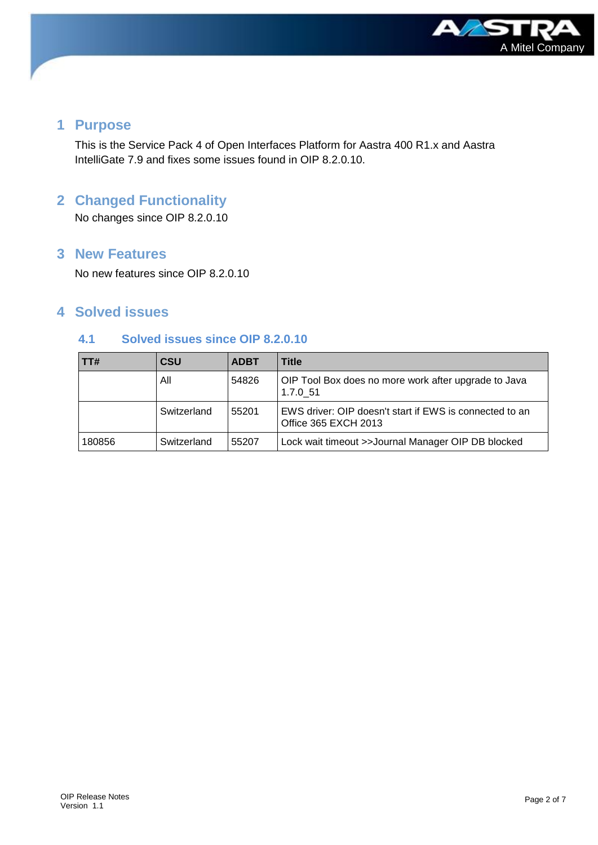

# **1 Purpose**

This is the Service Pack 4 of Open Interfaces Platform for Aastra 400 R1.x and Aastra IntelliGate 7.9 and fixes some issues found in OIP 8.2.0.10.

# **2 Changed Functionality**

No changes since OIP 8.2.0.10

# **3 New Features**

No new features since OIP 8.2.0.10

# **4 Solved issues**

# **4.1 Solved issues since OIP 8.2.0.10**

| $\overline{1}$ TT# | <b>CSU</b>  | <b>ADBT</b> | Title                                                                           |
|--------------------|-------------|-------------|---------------------------------------------------------------------------------|
|                    | All         | 54826       | OIP Tool Box does no more work after upgrade to Java<br>1.7.0 51                |
|                    | Switzerland | 55201       | EWS driver: OIP doesn't start if EWS is connected to an<br>Office 365 EXCH 2013 |
| 180856             | Switzerland | 55207       | Lock wait timeout >>Journal Manager OIP DB blocked                              |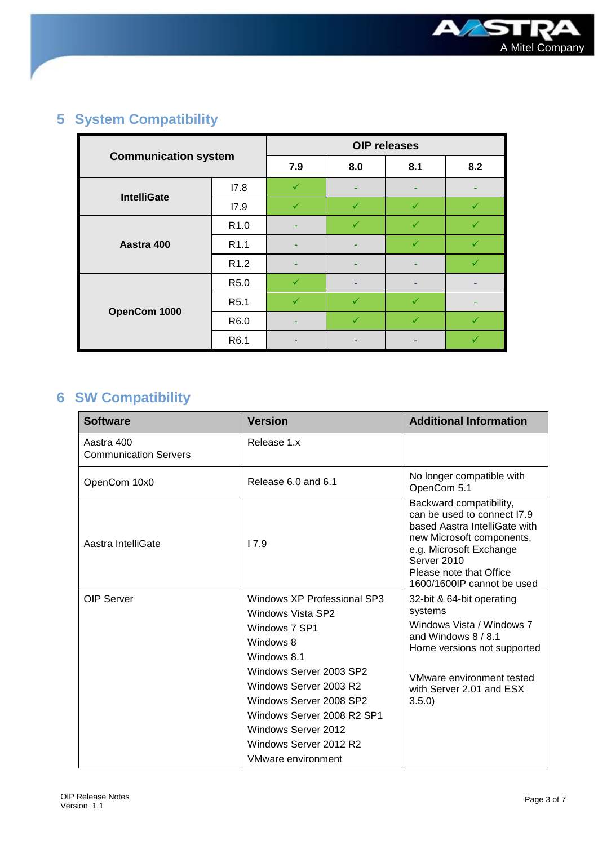

# **5 System Compatibility**

| <b>Communication system</b> |                  | <b>OIP</b> releases |              |     |     |
|-----------------------------|------------------|---------------------|--------------|-----|-----|
|                             |                  | 7.9                 | 8.0          | 8.1 | 8.2 |
| <b>IntelliGate</b>          | 17.8             | ✓                   | ٠            | ۰   |     |
|                             | 17.9             | ✓                   | ✓            | ✓   |     |
|                             | R <sub>1.0</sub> |                     |              |     |     |
| Aastra 400                  | R <sub>1.1</sub> | -                   | -            | ✓   |     |
|                             | R <sub>1.2</sub> |                     |              |     |     |
|                             | R <sub>5.0</sub> | ✓                   |              |     |     |
|                             | R <sub>5.1</sub> | ✓                   | $\checkmark$ | ✓   |     |
| OpenCom 1000                | R6.0             |                     | ✓            | ✓   | ✓   |
|                             | R6.1             |                     |              |     |     |

# **6 SW Compatibility**

| <b>Software</b>                            | <b>Version</b>                                                                                                                                                                                                                                                                            | <b>Additional Information</b>                                                                                                                                                                                           |
|--------------------------------------------|-------------------------------------------------------------------------------------------------------------------------------------------------------------------------------------------------------------------------------------------------------------------------------------------|-------------------------------------------------------------------------------------------------------------------------------------------------------------------------------------------------------------------------|
| Aastra 400<br><b>Communication Servers</b> | Release 1.x                                                                                                                                                                                                                                                                               |                                                                                                                                                                                                                         |
| OpenCom 10x0                               | Release 6.0 and 6.1                                                                                                                                                                                                                                                                       | No longer compatible with<br>OpenCom 5.1                                                                                                                                                                                |
| Aastra IntelliGate                         | 17.9                                                                                                                                                                                                                                                                                      | Backward compatibility,<br>can be used to connect 17.9<br>based Aastra IntelliGate with<br>new Microsoft components,<br>e.g. Microsoft Exchange<br>Server 2010<br>Please note that Office<br>1600/1600IP cannot be used |
| OIP Server                                 | Windows XP Professional SP3<br>Windows Vista SP2<br>Windows 7 SP1<br>Windows 8<br>Windows 8.1<br>Windows Server 2003 SP2<br>Windows Server 2003 R2<br>Windows Server 2008 SP2<br>Windows Server 2008 R2 SP1<br>Windows Server 2012<br>Windows Server 2012 R2<br><b>VMware environment</b> | 32-bit & 64-bit operating<br>systems<br>Windows Vista / Windows 7<br>and Windows $8/8.1$<br>Home versions not supported<br>VMware environment tested<br>with Server 2.01 and ESX<br>3.5.0                               |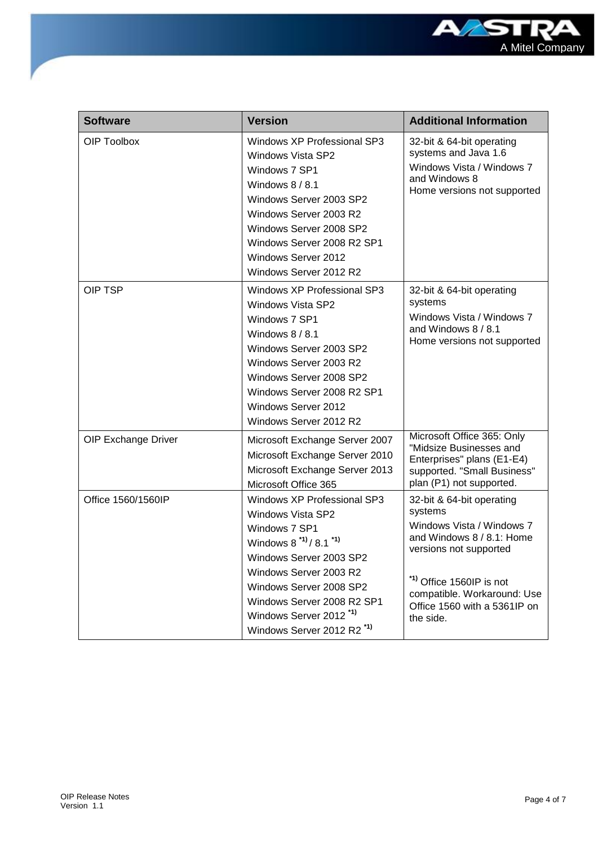

| <b>Software</b>     | <b>Version</b>                                                                                                                                                                                                                                                                                     | <b>Additional Information</b>                                                                                                                                                                                                    |
|---------------------|----------------------------------------------------------------------------------------------------------------------------------------------------------------------------------------------------------------------------------------------------------------------------------------------------|----------------------------------------------------------------------------------------------------------------------------------------------------------------------------------------------------------------------------------|
| OIP Toolbox         | Windows XP Professional SP3<br>Windows Vista SP2<br>Windows 7 SP1<br>Windows 8 / 8.1<br>Windows Server 2003 SP2<br>Windows Server 2003 R2<br>Windows Server 2008 SP2<br>Windows Server 2008 R2 SP1<br>Windows Server 2012<br>Windows Server 2012 R2                                                | 32-bit & 64-bit operating<br>systems and Java 1.6<br>Windows Vista / Windows 7<br>and Windows 8<br>Home versions not supported                                                                                                   |
| <b>OIP TSP</b>      | Windows XP Professional SP3<br><b>Windows Vista SP2</b><br>Windows 7 SP1<br>Windows $8/8.1$<br>Windows Server 2003 SP2<br>Windows Server 2003 R2<br>Windows Server 2008 SP2<br>Windows Server 2008 R2 SP1<br>Windows Server 2012<br>Windows Server 2012 R2                                         | 32-bit & 64-bit operating<br>systems<br>Windows Vista / Windows 7<br>and Windows 8 / 8.1<br>Home versions not supported                                                                                                          |
| OIP Exchange Driver | Microsoft Exchange Server 2007<br>Microsoft Exchange Server 2010<br>Microsoft Exchange Server 2013<br>Microsoft Office 365                                                                                                                                                                         | Microsoft Office 365: Only<br>"Midsize Businesses and<br>Enterprises" plans (E1-E4)<br>supported. "Small Business"<br>plan (P1) not supported.                                                                                   |
| Office 1560/1560IP  | Windows XP Professional SP3<br><b>Windows Vista SP2</b><br>Windows 7 SP1<br>Windows $8^{11}/8.1^{11}$<br>Windows Server 2003 SP2<br>Windows Server 2003 R2<br>Windows Server 2008 SP2<br>Windows Server 2008 R2 SP1<br>Windows Server 2012 <sup>*1)</sup><br>Windows Server 2012 R2 <sup>*1)</sup> | 32-bit & 64-bit operating<br>systems<br>Windows Vista / Windows 7<br>and Windows 8 / 8.1: Home<br>versions not supported<br>*1) Office 1560IP is not<br>compatible. Workaround: Use<br>Office 1560 with a 5361IP on<br>the side. |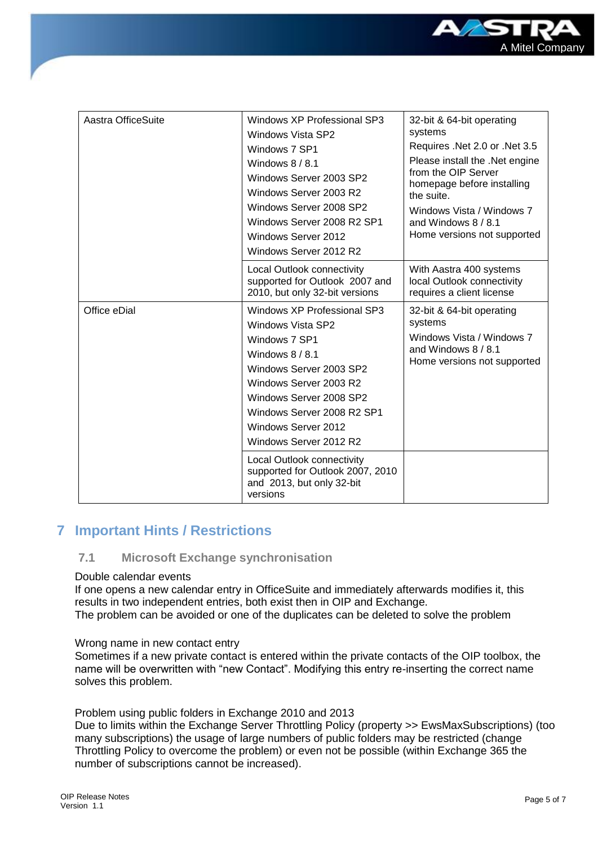

| Aastra OfficeSuite | Windows XP Professional SP3<br>Windows Vista SP2<br>Windows 7 SP1<br>Windows $8/8.1$<br>Windows Server 2003 SP2<br>Windows Server 2003 R2<br>Windows Server 2008 SP2<br>Windows Server 2008 R2 SP1<br>Windows Server 2012<br>Windows Server 2012 R2        | 32-bit & 64-bit operating<br>systems<br>Requires .Net 2.0 or .Net 3.5<br>Please install the .Net engine<br>from the OIP Server<br>homepage before installing<br>the suite.<br>Windows Vista / Windows 7<br>and Windows $8/8.1$<br>Home versions not supported |
|--------------------|------------------------------------------------------------------------------------------------------------------------------------------------------------------------------------------------------------------------------------------------------------|---------------------------------------------------------------------------------------------------------------------------------------------------------------------------------------------------------------------------------------------------------------|
|                    | Local Outlook connectivity<br>supported for Outlook 2007 and<br>2010, but only 32-bit versions                                                                                                                                                             | With Aastra 400 systems<br>local Outlook connectivity<br>requires a client license                                                                                                                                                                            |
| Office eDial       | Windows XP Professional SP3<br>Windows Vista SP2<br>Windows 7 SP1<br>Windows $8/8.1$<br>Windows Server 2003 SP2<br>Windows Server 2003 R2<br>Windows Server 2008 SP2<br>Windows Server 2008 R2 SP1<br><b>Windows Server 2012</b><br>Windows Server 2012 R2 | 32-bit & 64-bit operating<br>systems<br>Windows Vista / Windows 7<br>and Windows $8/8.1$<br>Home versions not supported                                                                                                                                       |
|                    | Local Outlook connectivity<br>supported for Outlook 2007, 2010<br>and 2013, but only 32-bit<br>versions                                                                                                                                                    |                                                                                                                                                                                                                                                               |

# **7 Important Hints / Restrictions**

#### **7.1 Microsoft Exchange synchronisation**

#### Double calendar events

If one opens a new calendar entry in OfficeSuite and immediately afterwards modifies it, this results in two independent entries, both exist then in OIP and Exchange. The problem can be avoided or one of the duplicates can be deleted to solve the problem

#### Wrong name in new contact entry

Sometimes if a new private contact is entered within the private contacts of the OIP toolbox, the name will be overwritten with "new Contact". Modifying this entry re-inserting the correct name solves this problem.

Problem using public folders in Exchange 2010 and 2013

Due to limits within the Exchange Server Throttling Policy (property >> EwsMaxSubscriptions) (too many subscriptions) the usage of large numbers of public folders may be restricted (change Throttling Policy to overcome the problem) or even not be possible (within Exchange 365 the number of subscriptions cannot be increased).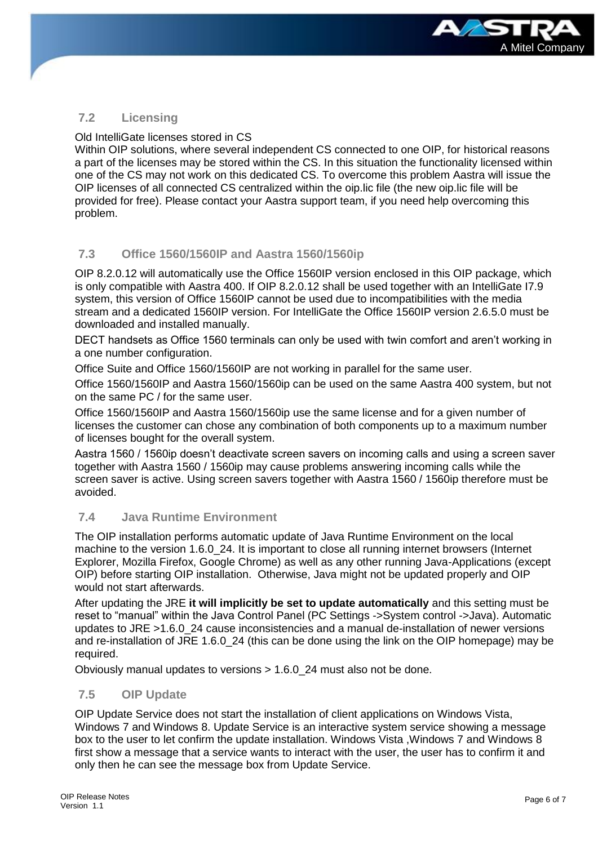

## **7.2 Licensing**

Old IntelliGate licenses stored in CS

Within OIP solutions, where several independent CS connected to one OIP, for historical reasons a part of the licenses may be stored within the CS. In this situation the functionality licensed within one of the CS may not work on this dedicated CS. To overcome this problem Aastra will issue the OIP licenses of all connected CS centralized within the oip.lic file (the new oip.lic file will be provided for free). Please contact your Aastra support team, if you need help overcoming this problem.

## **7.3 Office 1560/1560IP and Aastra 1560/1560ip**

OIP 8.2.0.12 will automatically use the Office 1560IP version enclosed in this OIP package, which is only compatible with Aastra 400. If OIP 8.2.0.12 shall be used together with an IntelliGate I7.9 system, this version of Office 1560IP cannot be used due to incompatibilities with the media stream and a dedicated 1560IP version. For IntelliGate the Office 1560IP version 2.6.5.0 must be downloaded and installed manually.

DECT handsets as Office 1560 terminals can only be used with twin comfort and aren't working in a one number configuration.

Office Suite and Office 1560/1560IP are not working in parallel for the same user.

Office 1560/1560IP and Aastra 1560/1560ip can be used on the same Aastra 400 system, but not on the same PC / for the same user.

Office 1560/1560IP and Aastra 1560/1560ip use the same license and for a given number of licenses the customer can chose any combination of both components up to a maximum number of licenses bought for the overall system.

Aastra 1560 / 1560ip doesn't deactivate screen savers on incoming calls and using a screen saver together with Aastra 1560 / 1560ip may cause problems answering incoming calls while the screen saver is active. Using screen savers together with Aastra 1560 / 1560ip therefore must be avoided.

## **7.4 Java Runtime Environment**

The OIP installation performs automatic update of Java Runtime Environment on the local machine to the version 1.6.0 24. It is important to close all running internet browsers (Internet Explorer, Mozilla Firefox, Google Chrome) as well as any other running Java-Applications (except OIP) before starting OIP installation. Otherwise, Java might not be updated properly and OIP would not start afterwards.

After updating the JRE **it will implicitly be set to update automatically** and this setting must be reset to "manual" within the Java Control Panel (PC Settings ->System control ->Java). Automatic updates to JRE >1.6.0\_24 cause inconsistencies and a manual de-installation of newer versions and re-installation of JRE 1.6.0\_24 (this can be done using the link on the OIP homepage) may be required.

Obviously manual updates to versions > 1.6.0\_24 must also not be done.

## **7.5 OIP Update**

OIP Update Service does not start the installation of client applications on Windows Vista, Windows 7 and Windows 8. Update Service is an interactive system service showing a message box to the user to let confirm the update installation. Windows Vista ,Windows 7 and Windows 8 first show a message that a service wants to interact with the user, the user has to confirm it and only then he can see the message box from Update Service.